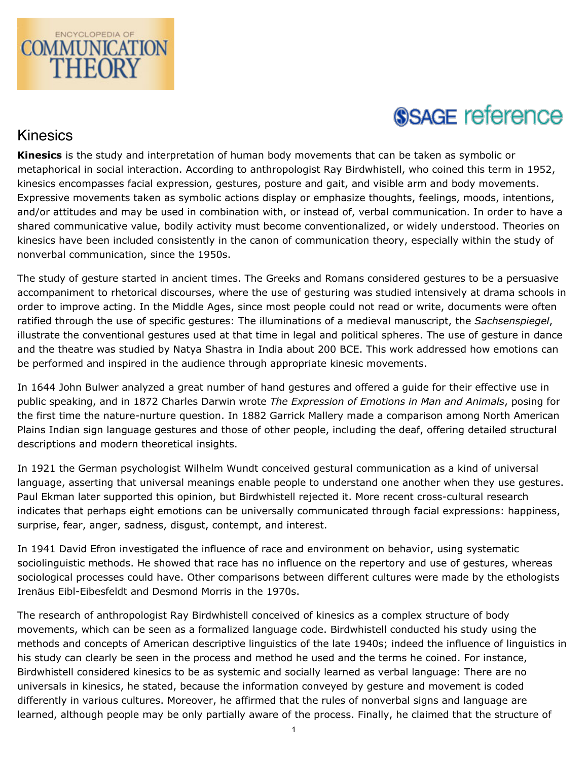

# **SSAGE reference**

## Kinesics

**Kinesics** is the study and interpretation of human body movements that can be taken as symbolic or metaphorical in social interaction. According to anthropologist Ray Birdwhistell, who coined this term in 1952, kinesics encompasses facial expression, gestures, posture and gait, and visible arm and body movements. Expressive movements taken as symbolic actions display or emphasize thoughts, feelings, moods, intentions, and/or attitudes and may be used in combination with, or instead of, verbal communication. In order to have a shared communicative value, bodily activity must become conventionalized, or widely understood. Theories on kinesics have been included consistently in the canon of communication theory, especially within the study of nonverbal communication, since the 1950s.

The study of gesture started in ancient times. The Greeks and Romans considered gestures to be a persuasive accompaniment to rhetorical discourses, where the use of gesturing was studied intensively at drama schools in order to improve acting. In the Middle Ages, since most people could not read or write, documents were often ratified through the use of specific gestures: The illuminations of a medieval manuscript, the *Sachsenspiegel*, illustrate the conventional gestures used at that time in legal and political spheres. The use of gesture in dance and the theatre was studied by Natya Shastra in India about 200 BCE. This work addressed how emotions can be performed and inspired in the audience through appropriate kinesic movements.

In 1644 John Bulwer analyzed a great number of hand gestures and offered a guide for their effective use in public speaking, and in 1872 Charles Darwin wrote *The Expression of Emotions in Man and Animals*, posing for the first time the nature-nurture question. In 1882 Garrick Mallery made a comparison among North American Plains Indian sign language gestures and those of other people, including the deaf, offering detailed structural descriptions and modern theoretical insights.

In 1921 the German psychologist Wilhelm Wundt conceived gestural communication as a kind of universal language, asserting that universal meanings enable people to understand one another when they use gestures. Paul Ekman later supported this opinion, but Birdwhistell rejected it. More recent cross-cultural research indicates that perhaps eight emotions can be universally communicated through facial expressions: happiness, surprise, fear, anger, sadness, disgust, contempt, and interest.

In 1941 David Efron investigated the influence of race and environment on behavior, using systematic sociolinguistic methods. He showed that race has no influence on the repertory and use of gestures, whereas sociological processes could have. Other comparisons between different cultures were made by the ethologists Irenäus Eibl-Eibesfeldt and Desmond Morris in the 1970s.

The research of anthropologist Ray Birdwhistell conceived of kinesics as a complex structure of body movements, which can be seen as a formalized language code. Birdwhistell conducted his study using the methods and concepts of American descriptive linguistics of the late 1940s; indeed the influence of linguistics in his study can clearly be seen in the process and method he used and the terms he coined. For instance, Birdwhistell considered kinesics to be as systemic and socially learned as verbal language: There are no universals in kinesics, he stated, because the information conveyed by gesture and movement is coded differently in various cultures. Moreover, he affirmed that the rules of nonverbal signs and language are learned, although people may be only partially aware of the process. Finally, he claimed that the structure of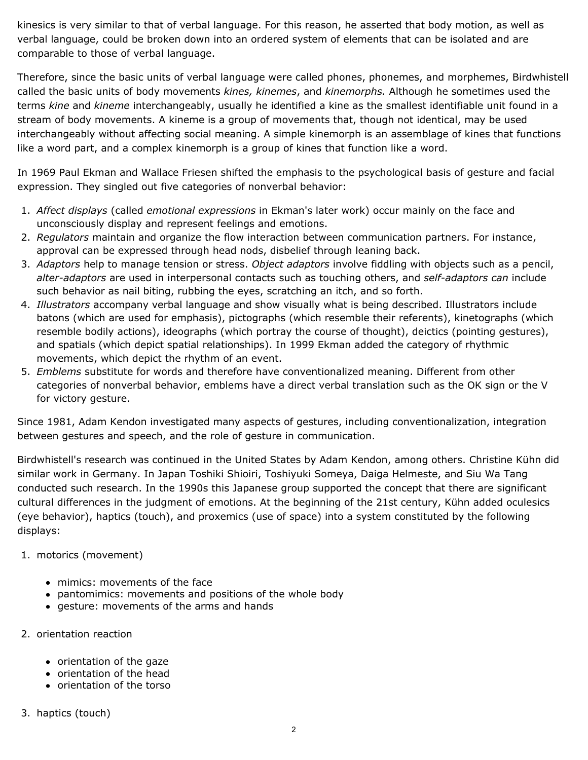kinesics is very similar to that of verbal language. For this reason, he asserted that body motion, as well as verbal language, could be broken down into an ordered system of elements that can be isolated and are comparable to those of verbal language.

Therefore, since the basic units of verbal language were called phones, phonemes, and morphemes, Birdwhistell called the basic units of body movements *kines, kinemes*, and *kinemorphs.* Although he sometimes used the terms *kine* and *kineme* interchangeably, usually he identified a kine as the smallest identifiable unit found in a stream of body movements. A kineme is a group of movements that, though not identical, may be used interchangeably without affecting social meaning. A simple kinemorph is an assemblage of kines that functions like a word part, and a complex kinemorph is a group of kines that function like a word.

In 1969 Paul Ekman and Wallace Friesen shifted the emphasis to the psychological basis of gesture and facial expression. They singled out five categories of nonverbal behavior:

- 1. *Affect displays* (called *emotional expressions* in Ekman's later work) occur mainly on the face and unconsciously display and represent feelings and emotions.
- 2. *Regulators* maintain and organize the flow interaction between communication partners. For instance, approval can be expressed through head nods, disbelief through leaning back.
- 3. *Adaptors* help to manage tension or stress. *Object adaptors* involve fiddling with objects such as a pencil, *alter-adaptors* are used in interpersonal contacts such as touching others, and *self-adaptors can* include such behavior as nail biting, rubbing the eyes, scratching an itch, and so forth.
- 4. *Illustrators* accompany verbal language and show visually what is being described. Illustrators include batons (which are used for emphasis), pictographs (which resemble their referents), kinetographs (which resemble bodily actions), ideographs (which portray the course of thought), deictics (pointing gestures), and spatials (which depict spatial relationships). In 1999 Ekman added the category of rhythmic movements, which depict the rhythm of an event.
- 5. *Emblems* substitute for words and therefore have conventionalized meaning. Different from other categories of nonverbal behavior, emblems have a direct verbal translation such as the OK sign or the V for victory gesture.

Since 1981, Adam Kendon investigated many aspects of gestures, including conventionalization, integration between gestures and speech, and the role of gesture in communication.

Birdwhistell's research was continued in the United States by Adam Kendon, among others. Christine Kühn did similar work in Germany. In Japan Toshiki Shioiri, Toshiyuki Someya, Daiga Helmeste, and Siu Wa Tang conducted such research. In the 1990s this Japanese group supported the concept that there are significant cultural differences in the judgment of emotions. At the beginning of the 21st century, Kühn added oculesics (eye behavior), haptics (touch), and proxemics (use of space) into a system constituted by the following displays:

#### 1. motorics (movement)

- mimics: movements of the face
- pantomimics: movements and positions of the whole body
- gesture: movements of the arms and hands
- 2. orientation reaction
	- orientation of the gaze
	- orientation of the head
	- orientation of the torso
- 3. haptics (touch)